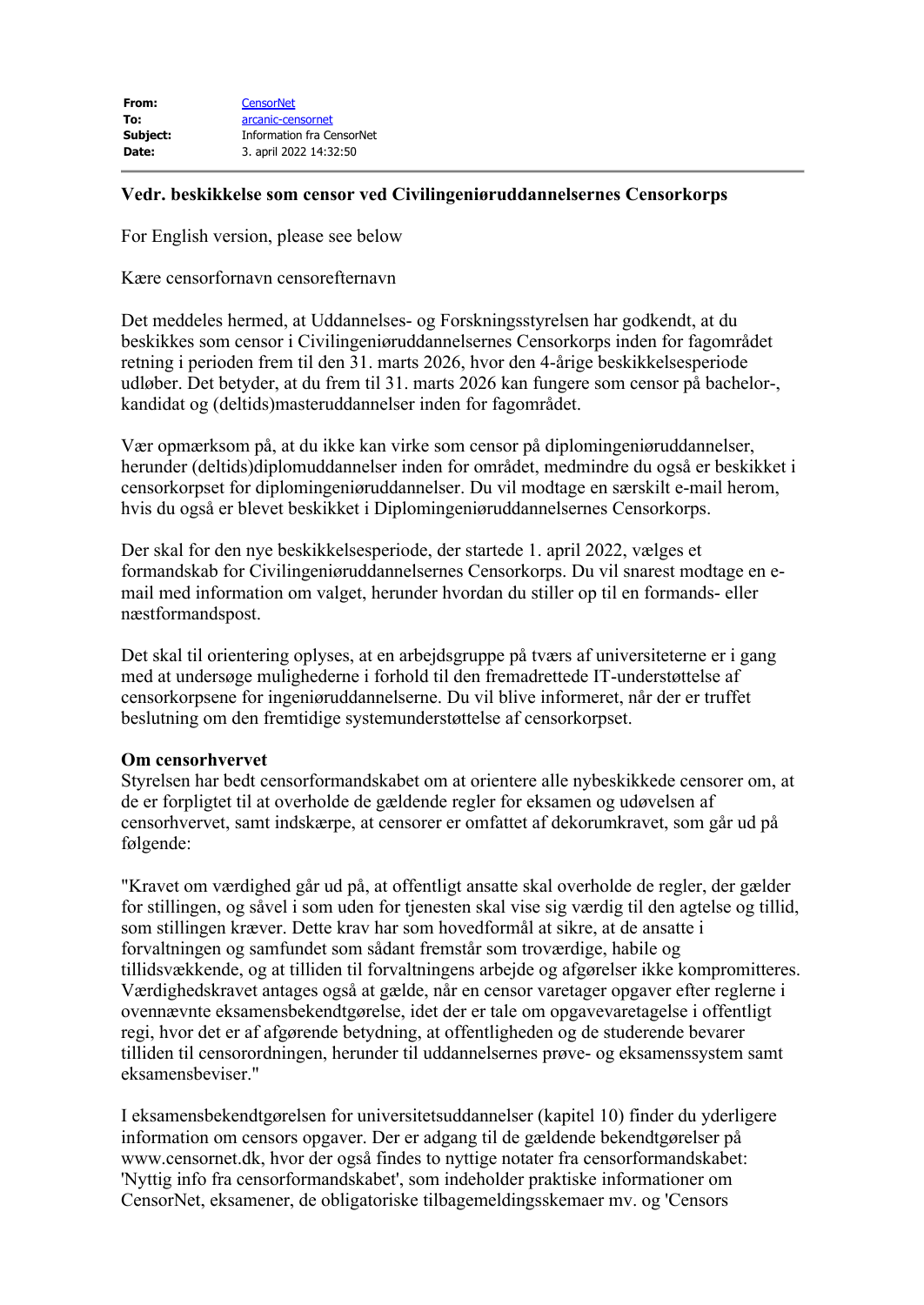| From:    | <b>CensorNet</b>          |
|----------|---------------------------|
| To:      | arcanic-censornet         |
| Subject: | Information fra CensorNet |
| Date:    | 3. april 2022 14:32:50    |
|          |                           |

## **Vedr. beskikkelse som censor ved Civilingeniøruddannelsernes Censorkorps**

For English version, please see below

Kære censorfornavn censorefternavn

Det meddeles hermed, at Uddannelses- og Forskningsstyrelsen har godkendt, at du beskikkes som censor i Civilingeniøruddannelsernes Censorkorps inden for fagområdet retning i perioden frem til den 31. marts 2026, hvor den 4-årige beskikkelsesperiode udløber. Det betyder, at du frem til 31. marts 2026 kan fungere som censor på bachelor-, kandidat og (deltids)masteruddannelser inden for fagområdet.

Vær opmærksom på, at du ikke kan virke som censor på diplomingeniøruddannelser, herunder (deltids)diplomuddannelser inden for området, medmindre du også er beskikket i censorkorpset for diplomingeniøruddannelser. Du vil modtage en særskilt e-mail herom, hvis du også er blevet beskikket i Diplomingeniøruddannelsernes Censorkorps.

Der skal for den nye beskikkelsesperiode, der startede 1. april 2022, vælges et formandskab for Civilingeniøruddannelsernes Censorkorps. Du vil snarest modtage en email med information om valget, herunder hvordan du stiller op til en formands- eller næstformandspost.

Det skal til orientering oplyses, at en arbejdsgruppe på tværs af universiteterne er i gang med at undersøge mulighederne i forhold til den fremadrettede IT-understøttelse af censorkorpsene for ingeniøruddannelserne. Du vil blive informeret, når der er truffet beslutning om den fremtidige systemunderstøttelse af censorkorpset.

## **Om censorhvervet**

Styrelsen har bedt censorformandskabet om at orientere alle nybeskikkede censorer om, at de er forpligtet til at overholde de gældende regler for eksamen og udøvelsen af censorhvervet, samt indskærpe, at censorer er omfattet af dekorumkravet, som går ud på følgende:

"Kravet om værdighed går ud på, at offentligt ansatte skal overholde de regler, der gælder for stillingen, og såvel i som uden for tjenesten skal vise sig værdig til den agtelse og tillid, som stillingen kræver. Dette krav har som hovedformål at sikre, at de ansatte i forvaltningen og samfundet som sådant fremstår som troværdige, habile og tillidsvækkende, og at tilliden til forvaltningens arbejde og afgørelser ikke kompromitteres. Værdighedskravet antages også at gælde, når en censor varetager opgaver efter reglerne i ovennævnte eksamensbekendtgørelse, idet der er tale om opgavevaretagelse i offentligt regi, hvor det er af afgørende betydning, at offentligheden og de studerende bevarer tilliden til censorordningen, herunder til uddannelsernes prøve- og eksamenssystem samt eksamensbeviser."

I eksamensbekendtgørelsen for universitetsuddannelser (kapitel 10) finder du yderligere information om censors opgaver. Der er adgang til de gældende bekendtgørelser på www.censornet.dk, hvor der også findes to nyttige notater fra censorformandskabet: 'Nyttig info fra censorformandskabet', som indeholder praktiske informationer om CensorNet, eksamener, de obligatoriske tilbagemeldingsskemaer mv. og 'Censors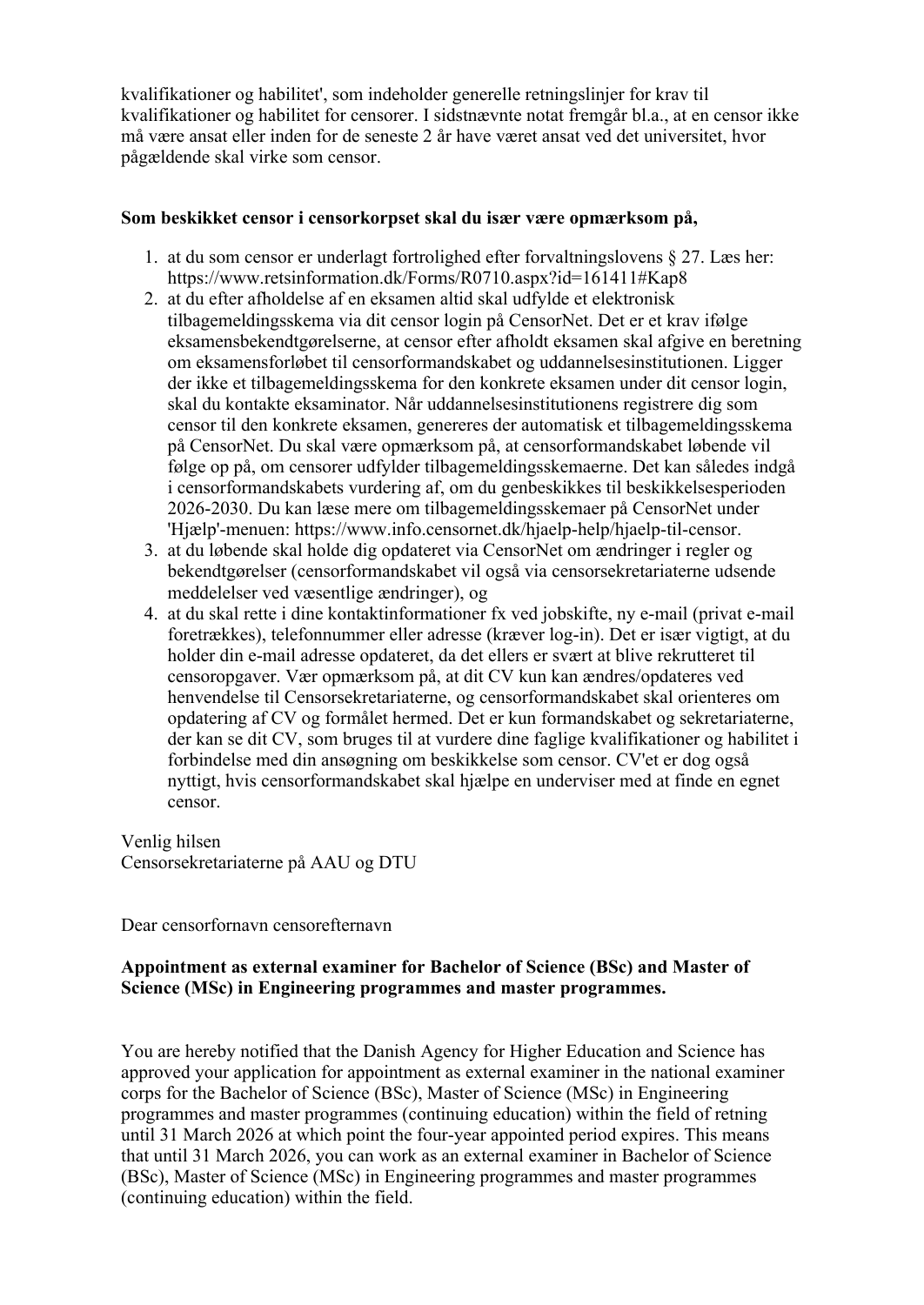kvalifikationer og habilitet', som indeholder generelle retningslinjer for krav til kvalifikationer og habilitet for censorer. I sidstnævnte notat fremgår bl.a., at en censor ikke må være ansat eller inden for de seneste 2 år have været ansat ved det universitet, hvor pågældende skal virke som censor.

## **Som beskikket censor i censorkorpset skal du især være opmærksom på,**

- 1. at du som censor er underlagt fortrolighed efter forvaltningslovens § 27. Læs her: https://www.retsinformation.dk/Forms/R0710.aspx?id=161411#Kap8
- 2. at du efter afholdelse af en eksamen altid skal udfylde et elektronisk tilbagemeldingsskema via dit censor login på CensorNet. Det er et krav ifølge eksamensbekendtgørelserne, at censor efter afholdt eksamen skal afgive en beretning om eksamensforløbet til censorformandskabet og uddannelsesinstitutionen. Ligger der ikke et tilbagemeldingsskema for den konkrete eksamen under dit censor login, skal du kontakte eksaminator. Når uddannelsesinstitutionens registrere dig som censor til den konkrete eksamen, genereres der automatisk et tilbagemeldingsskema på CensorNet. Du skal være opmærksom på, at censorformandskabet løbende vil følge op på, om censorer udfylder tilbagemeldingsskemaerne. Det kan således indgå i censorformandskabets vurdering af, om du genbeskikkes til beskikkelsesperioden 2026-2030. Du kan læse mere om tilbagemeldingsskemaer på CensorNet under 'Hjælp'-menuen: https://www.info.censornet.dk/hjaelp-help/hjaelp-til-censor.
- 3. at du løbende skal holde dig opdateret via CensorNet om ændringer i regler og bekendtgørelser (censorformandskabet vil også via censorsekretariaterne udsende meddelelser ved væsentlige ændringer), og
- 4. at du skal rette i dine kontaktinformationer fx ved jobskifte, ny e-mail (privat e-mail foretrækkes), telefonnummer eller adresse (kræver log-in). Det er især vigtigt, at du holder din e-mail adresse opdateret, da det ellers er svært at blive rekrutteret til censoropgaver. Vær opmærksom på, at dit CV kun kan ændres/opdateres ved henvendelse til Censorsekretariaterne, og censorformandskabet skal orienteres om opdatering af CV og formålet hermed. Det er kun formandskabet og sekretariaterne, der kan se dit CV, som bruges til at vurdere dine faglige kvalifikationer og habilitet i forbindelse med din ansøgning om beskikkelse som censor. CV'et er dog også nyttigt, hvis censorformandskabet skal hjælpe en underviser med at finde en egnet censor.

Venlig hilsen Censorsekretariaterne på AAU og DTU

Dear censorfornavn censorefternavn

# **Appointment as external examiner for Bachelor of Science (BSc) and Master of Science (MSc) in Engineering programmes and master programmes.**

You are hereby notified that the Danish Agency for Higher Education and Science has approved your application for appointment as external examiner in the national examiner corps for the Bachelor of Science (BSc), Master of Science (MSc) in Engineering programmes and master programmes (continuing education) within the field of retning until 31 March 2026 at which point the four-year appointed period expires. This means that until 31 March 2026, you can work as an external examiner in Bachelor of Science (BSc), Master of Science (MSc) in Engineering programmes and master programmes (continuing education) within the field.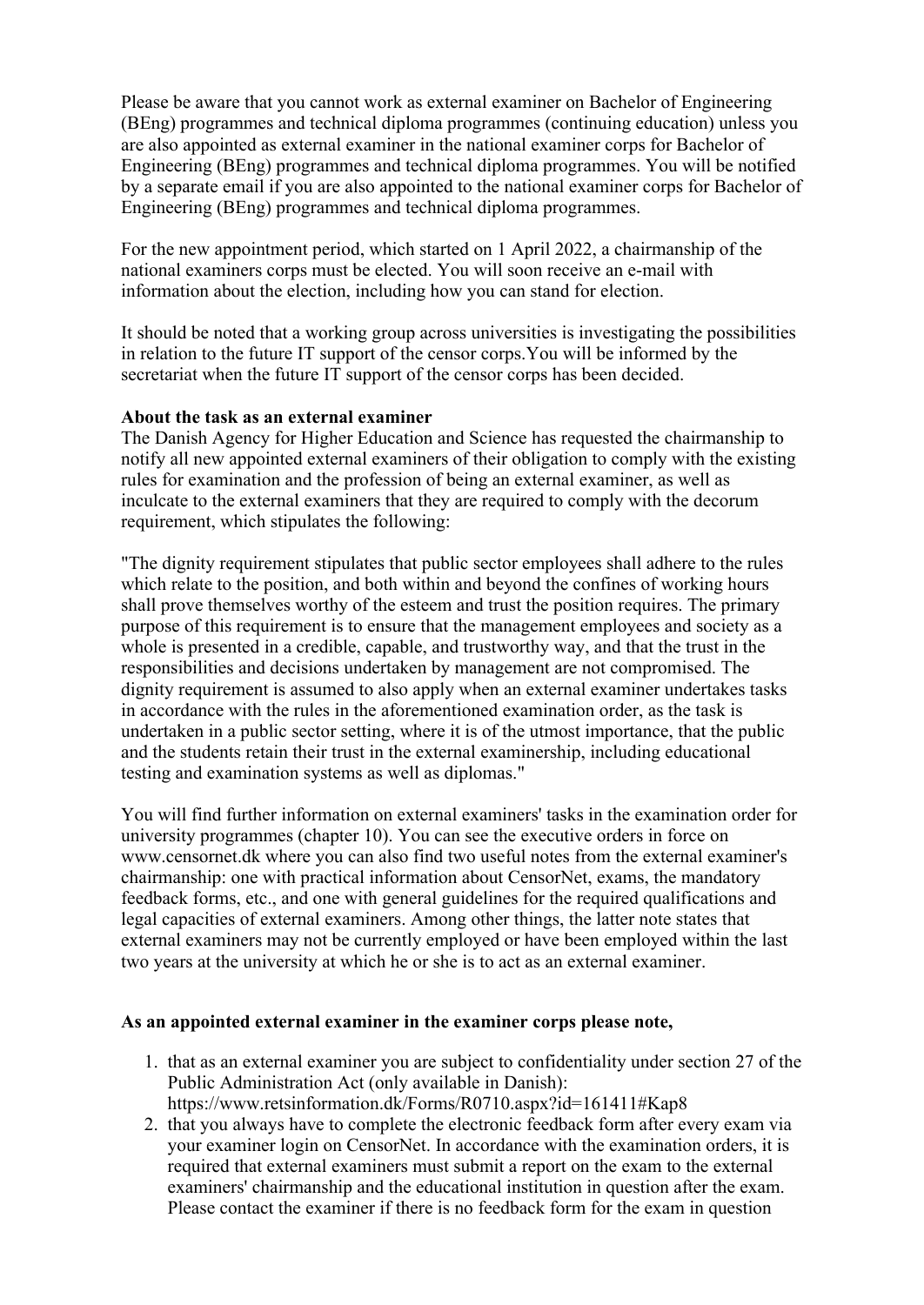Please be aware that you cannot work as external examiner on Bachelor of Engineering (BEng) programmes and technical diploma programmes (continuing education) unless you are also appointed as external examiner in the national examiner corps for Bachelor of Engineering (BEng) programmes and technical diploma programmes. You will be notified by a separate email if you are also appointed to the national examiner corps for Bachelor of Engineering (BEng) programmes and technical diploma programmes.

For the new appointment period, which started on 1 April 2022, a chairmanship of the national examiners corps must be elected. You will soon receive an e-mail with information about the election, including how you can stand for election.

It should be noted that a working group across universities is investigating the possibilities in relation to the future IT support of the censor corps.You will be informed by the secretariat when the future IT support of the censor corps has been decided.

## **About the task as an external examiner**

The Danish Agency for Higher Education and Science has requested the chairmanship to notify all new appointed external examiners of their obligation to comply with the existing rules for examination and the profession of being an external examiner, as well as inculcate to the external examiners that they are required to comply with the decorum requirement, which stipulates the following:

"The dignity requirement stipulates that public sector employees shall adhere to the rules which relate to the position, and both within and beyond the confines of working hours shall prove themselves worthy of the esteem and trust the position requires. The primary purpose of this requirement is to ensure that the management employees and society as a whole is presented in a credible, capable, and trustworthy way, and that the trust in the responsibilities and decisions undertaken by management are not compromised. The dignity requirement is assumed to also apply when an external examiner undertakes tasks in accordance with the rules in the aforementioned examination order, as the task is undertaken in a public sector setting, where it is of the utmost importance, that the public and the students retain their trust in the external examinership, including educational testing and examination systems as well as diplomas."

You will find further information on external examiners' tasks in the examination order for university programmes (chapter 10). You can see the executive orders in force on www.censornet.dk where you can also find two useful notes from the external examiner's chairmanship: one with practical information about CensorNet, exams, the mandatory feedback forms, etc., and one with general guidelines for the required qualifications and legal capacities of external examiners. Among other things, the latter note states that external examiners may not be currently employed or have been employed within the last two years at the university at which he or she is to act as an external examiner.

#### **As an appointed external examiner in the examiner corps please note,**

- 1. that as an external examiner you are subject to confidentiality under section 27 of the Public Administration Act (only available in Danish): https://www.retsinformation.dk/Forms/R0710.aspx?id=161411#Kap8
- 2. that you always have to complete the electronic feedback form after every exam via your examiner login on CensorNet. In accordance with the examination orders, it is required that external examiners must submit a report on the exam to the external examiners' chairmanship and the educational institution in question after the exam. Please contact the examiner if there is no feedback form for the exam in question